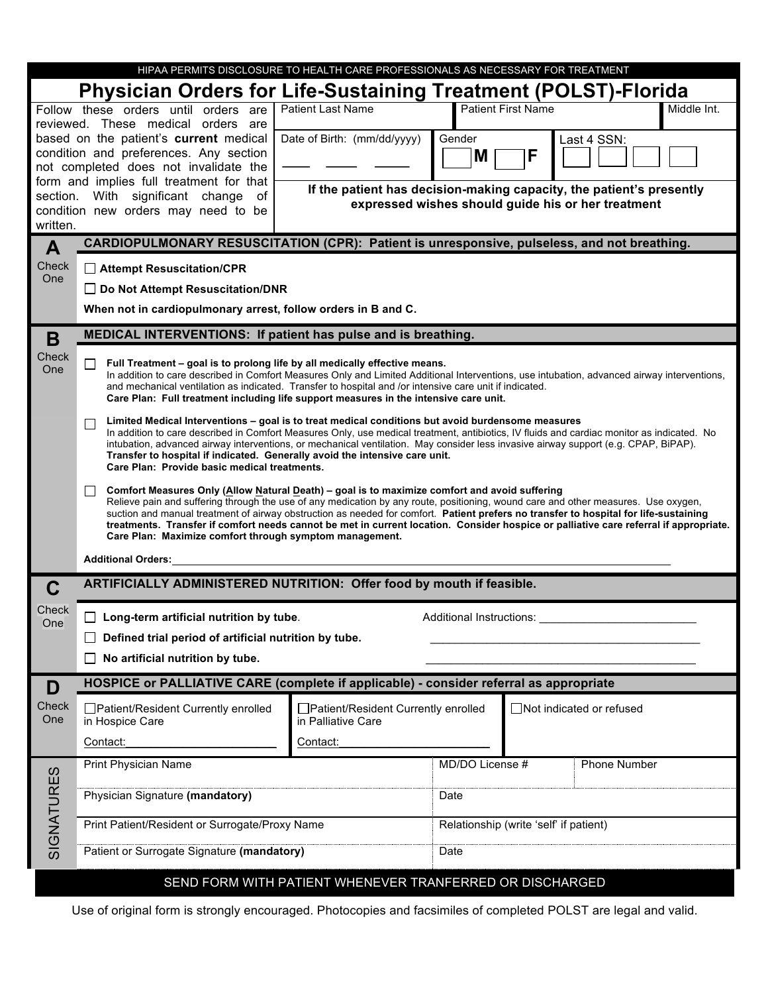| HIPAA PERMITS DISCLOSURE TO HEALTH CARE PROFESSIONALS AS NECESSARY FOR TREATMENT                                                                                                                 |                                                                                                                                                                                                                                                                                                                                                                                                                                                                                 |                                                                      |                           |             |                           |  |  |  |  |  |
|--------------------------------------------------------------------------------------------------------------------------------------------------------------------------------------------------|---------------------------------------------------------------------------------------------------------------------------------------------------------------------------------------------------------------------------------------------------------------------------------------------------------------------------------------------------------------------------------------------------------------------------------------------------------------------------------|----------------------------------------------------------------------|---------------------------|-------------|---------------------------|--|--|--|--|--|
| <b>Physician Orders for Life-Sustaining Treatment (POLST)-Florida</b>                                                                                                                            |                                                                                                                                                                                                                                                                                                                                                                                                                                                                                 |                                                                      |                           |             |                           |  |  |  |  |  |
|                                                                                                                                                                                                  | Follow these orders until orders are<br><b>Patient Last Name</b>                                                                                                                                                                                                                                                                                                                                                                                                                |                                                                      | <b>Patient First Name</b> | Middle Int. |                           |  |  |  |  |  |
|                                                                                                                                                                                                  | reviewed. These medical orders are<br>based on the patient's current medical                                                                                                                                                                                                                                                                                                                                                                                                    | Date of Birth: (mm/dd/yyyy)                                          | Gender                    |             | Last 4 SSN:               |  |  |  |  |  |
|                                                                                                                                                                                                  | condition and preferences. Any section                                                                                                                                                                                                                                                                                                                                                                                                                                          | M                                                                    | F                         |             |                           |  |  |  |  |  |
|                                                                                                                                                                                                  | not completed does not invalidate the<br>form and implies full treatment for that                                                                                                                                                                                                                                                                                                                                                                                               |                                                                      |                           |             |                           |  |  |  |  |  |
|                                                                                                                                                                                                  | section. With significant change<br>of                                                                                                                                                                                                                                                                                                                                                                                                                                          | If the patient has decision-making capacity, the patient's presently |                           |             |                           |  |  |  |  |  |
| expressed wishes should guide his or her treatment<br>condition new orders may need to be                                                                                                        |                                                                                                                                                                                                                                                                                                                                                                                                                                                                                 |                                                                      |                           |             |                           |  |  |  |  |  |
| written.                                                                                                                                                                                         |                                                                                                                                                                                                                                                                                                                                                                                                                                                                                 |                                                                      |                           |             |                           |  |  |  |  |  |
| A<br>Check                                                                                                                                                                                       | <b>CARDIOPULMONARY RESUSCITATION (CPR): Patient is unresponsive, pulseless, and not breathing.</b>                                                                                                                                                                                                                                                                                                                                                                              |                                                                      |                           |             |                           |  |  |  |  |  |
| One                                                                                                                                                                                              | □ Attempt Resuscitation/CPR<br>□ Do Not Attempt Resuscitation/DNR                                                                                                                                                                                                                                                                                                                                                                                                               |                                                                      |                           |             |                           |  |  |  |  |  |
|                                                                                                                                                                                                  | When not in cardiopulmonary arrest, follow orders in B and C.                                                                                                                                                                                                                                                                                                                                                                                                                   |                                                                      |                           |             |                           |  |  |  |  |  |
|                                                                                                                                                                                                  |                                                                                                                                                                                                                                                                                                                                                                                                                                                                                 |                                                                      |                           |             |                           |  |  |  |  |  |
| B                                                                                                                                                                                                | MEDICAL INTERVENTIONS: If patient has pulse and is breathing.                                                                                                                                                                                                                                                                                                                                                                                                                   |                                                                      |                           |             |                           |  |  |  |  |  |
| Check<br>One                                                                                                                                                                                     | Full Treatment - goal is to prolong life by all medically effective means.<br>$\Box$<br>In addition to care described in Comfort Measures Only and Limited Additional Interventions, use intubation, advanced airway interventions,                                                                                                                                                                                                                                             |                                                                      |                           |             |                           |  |  |  |  |  |
| and mechanical ventilation as indicated. Transfer to hospital and /or intensive care unit if indicated.<br>Care Plan: Full treatment including life support measures in the intensive care unit. |                                                                                                                                                                                                                                                                                                                                                                                                                                                                                 |                                                                      |                           |             |                           |  |  |  |  |  |
|                                                                                                                                                                                                  |                                                                                                                                                                                                                                                                                                                                                                                                                                                                                 |                                                                      |                           |             |                           |  |  |  |  |  |
|                                                                                                                                                                                                  | Limited Medical Interventions - goal is to treat medical conditions but avoid burdensome measures<br>$\Box$<br>In addition to care described in Comfort Measures Only, use medical treatment, antibiotics, IV fluids and cardiac monitor as indicated. No<br>intubation, advanced airway interventions, or mechanical ventilation. May consider less invasive airway support (e.g. CPAP, BiPAP).<br>Transfer to hospital if indicated. Generally avoid the intensive care unit. |                                                                      |                           |             |                           |  |  |  |  |  |
|                                                                                                                                                                                                  |                                                                                                                                                                                                                                                                                                                                                                                                                                                                                 |                                                                      |                           |             |                           |  |  |  |  |  |
|                                                                                                                                                                                                  | Care Plan: Provide basic medical treatments.                                                                                                                                                                                                                                                                                                                                                                                                                                    |                                                                      |                           |             |                           |  |  |  |  |  |
|                                                                                                                                                                                                  | Comfort Measures Only (Allow Natural Death) - goal is to maximize comfort and avoid suffering<br>$\perp$<br>Relieve pain and suffering through the use of any medication by any route, positioning, wound care and other measures. Use oxygen,<br>suction and manual treatment of airway obstruction as needed for comfort. Patient prefers no transfer to hospital for life-sustaining                                                                                         |                                                                      |                           |             |                           |  |  |  |  |  |
|                                                                                                                                                                                                  |                                                                                                                                                                                                                                                                                                                                                                                                                                                                                 |                                                                      |                           |             |                           |  |  |  |  |  |
|                                                                                                                                                                                                  | treatments. Transfer if comfort needs cannot be met in current location. Consider hospice or palliative care referral if appropriate.<br>Care Plan: Maximize comfort through symptom management.                                                                                                                                                                                                                                                                                |                                                                      |                           |             |                           |  |  |  |  |  |
|                                                                                                                                                                                                  | <b>Additional Orders:</b>                                                                                                                                                                                                                                                                                                                                                                                                                                                       |                                                                      |                           |             |                           |  |  |  |  |  |
| C                                                                                                                                                                                                | ARTIFICIALLY ADMINISTERED NUTRITION: Offer food by mouth if feasible.                                                                                                                                                                                                                                                                                                                                                                                                           |                                                                      |                           |             |                           |  |  |  |  |  |
| Check                                                                                                                                                                                            |                                                                                                                                                                                                                                                                                                                                                                                                                                                                                 |                                                                      |                           |             |                           |  |  |  |  |  |
| One                                                                                                                                                                                              | Long-term artificial nutrition by tube.<br>Additional Instructions:<br>$\blacksquare$                                                                                                                                                                                                                                                                                                                                                                                           |                                                                      |                           |             |                           |  |  |  |  |  |
|                                                                                                                                                                                                  | Defined trial period of artificial nutrition by tube.                                                                                                                                                                                                                                                                                                                                                                                                                           |                                                                      |                           |             |                           |  |  |  |  |  |
|                                                                                                                                                                                                  | No artificial nutrition by tube.<br>$\mathbf{1}$                                                                                                                                                                                                                                                                                                                                                                                                                                |                                                                      |                           |             |                           |  |  |  |  |  |
| D                                                                                                                                                                                                | HOSPICE or PALLIATIVE CARE (complete if applicable) - consider referral as appropriate                                                                                                                                                                                                                                                                                                                                                                                          |                                                                      |                           |             |                           |  |  |  |  |  |
| Check<br>One                                                                                                                                                                                     | □ Patient/Resident Currently enrolled<br>in Hospice Care                                                                                                                                                                                                                                                                                                                                                                                                                        | □Patient/Resident Currently enrolled<br>in Palliative Care           |                           |             | □Not indicated or refused |  |  |  |  |  |
|                                                                                                                                                                                                  | Contact:                                                                                                                                                                                                                                                                                                                                                                                                                                                                        | Contact:                                                             |                           |             |                           |  |  |  |  |  |
|                                                                                                                                                                                                  | <b>Print Physician Name</b>                                                                                                                                                                                                                                                                                                                                                                                                                                                     | MD/DO License #<br><b>Phone Number</b>                               |                           |             |                           |  |  |  |  |  |
| SIGNATURES                                                                                                                                                                                       |                                                                                                                                                                                                                                                                                                                                                                                                                                                                                 |                                                                      |                           |             |                           |  |  |  |  |  |
|                                                                                                                                                                                                  | Physician Signature (mandatory)                                                                                                                                                                                                                                                                                                                                                                                                                                                 | Date                                                                 |                           |             |                           |  |  |  |  |  |
|                                                                                                                                                                                                  | Print Patient/Resident or Surrogate/Proxy Name                                                                                                                                                                                                                                                                                                                                                                                                                                  | Relationship (write 'self' if patient)                               |                           |             |                           |  |  |  |  |  |
|                                                                                                                                                                                                  |                                                                                                                                                                                                                                                                                                                                                                                                                                                                                 |                                                                      |                           |             |                           |  |  |  |  |  |
|                                                                                                                                                                                                  | Patient or Surrogate Signature (mandatory)                                                                                                                                                                                                                                                                                                                                                                                                                                      | Date                                                                 |                           |             |                           |  |  |  |  |  |
| SEND FORM WITH PATIENT WHENEVER TRANFERRED OR DISCHARGED                                                                                                                                         |                                                                                                                                                                                                                                                                                                                                                                                                                                                                                 |                                                                      |                           |             |                           |  |  |  |  |  |

Use of original form is strongly encouraged. Photocopies and facsimiles of completed POLST are legal and valid.